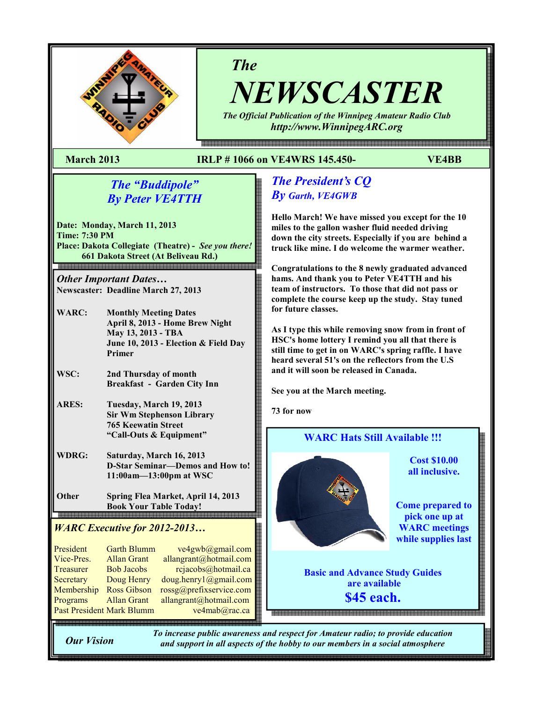

# The

NEWSCASTER The Official Publication of the Winnipeg Amateur Radio Club

http://www.WinnipegARC.org

e en de maar de maan de maan de maan de maan de maan de maan de maan de de de maan de en de de maan de maan de

#### March 2013 IRLP # 1066 on VE4WRS 145.450- VE4BB

## The "Buddipole" By Peter VE4TTH

Date: Monday, March 11, 2013 Time: 7:30 PM Place: Dakota Collegiate (Theatre) - See you there! 661 Dakota Street (At Beliveau Rd.)

Other Important Dates… Newscaster: Deadline March 27, 2013

WARC: Monthly Meeting Dates April 8, 2013 - Home Brew Night May 13, 2013 - TBA June 10, 2013 - Election & Field Day Primer

WSC: 2nd Thursday of month Breakfast - Garden City Inn

- ARES: Tuesday, March 19, 2013 Sir Wm Stephenson Library 765 Keewatin Street "Call-Outs & Equipment"
- WDRG: Saturday, March 16, 2013 D-Star Seminar—Demos and How to! 11:00am—13:00pm at WSC
- Other Spring Flea Market, April 14, 2013 Book Your Table Today!

#### WARC Executive for 2012-2013…

| President                 | <b>Garth Blumm</b> | ve4gwb@gmail.com        |
|---------------------------|--------------------|-------------------------|
| Vice-Pres.                | <b>Allan Grant</b> | allangrant@hotmail.com  |
| Treasurer                 | <b>Bob Jacobs</b>  | rcjacobs@hotmail.ca     |
| Secretary                 | Doug Henry         | doug.henry1@gmail.com   |
| Membership                | <b>Ross Gibson</b> | rossg@prefixservice.com |
| Programs                  | <b>Allan Grant</b> | allangrant@hotmail.com  |
| Past President Mark Blumm |                    | ve4mab@rac.ca           |
|                           |                    |                         |

## The President's CQ By Garth, VE4GWB

Hello March! We have missed you except for the 10 miles to the gallon washer fluid needed driving down the city streets. Especially if you are behind a truck like mine. I do welcome the warmer weather.

Congratulations to the 8 newly graduated advanced hams. And thank you to Peter VE4TTH and his team of instructors. To those that did not pass or complete the course keep up the study. Stay tuned for future classes.

As I type this while removing snow from in front of HSC's home lottery I remind you all that there is still time to get in on WARC's spring raffle. I have heard several 51's on the reflectors from the U.S and it will soon be released in Canada.

See you at the March meeting.

73 for now



Our Vision

To increase public awareness and respect for Amateur radio; to provide education and support in all aspects of the hobby to our members in a social atmosphere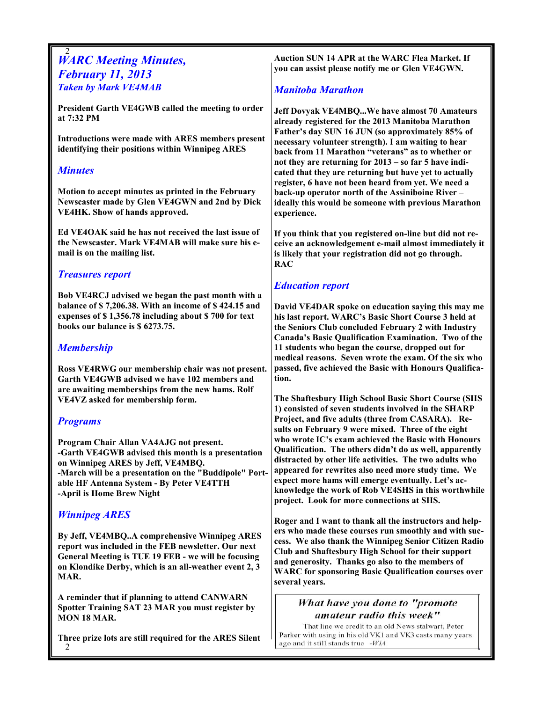#### 2 **WARC Meeting Minutes,** February 11, 2013 Taken by Mark VE4MAB

President Garth VE4GWB called the meeting to order at 7:32 PM

Introductions were made with ARES members present identifying their positions within Winnipeg ARES

#### **Minutes**

Motion to accept minutes as printed in the February Newscaster made by Glen VE4GWN and 2nd by Dick VE4HK. Show of hands approved.

Ed VE4OAK said he has not received the last issue of the Newscaster. Mark VE4MAB will make sure his email is on the mailing list.

#### Treasures report

Bob VE4RCJ advised we began the past month with a balance of \$ 7,206.38. With an income of \$ 424.15 and expenses of \$ 1,356.78 including about \$ 700 for text books our balance is \$ 6273.75.

### Membership

Ross VE4RWG our membership chair was not present. Garth VE4GWB advised we have 102 members and are awaiting memberships from the new hams. Rolf VE4VZ asked for membership form.

#### Programs

Program Chair Allan VA4AJG not present. -Garth VE4GWB advised this month is a presentation on Winnipeg ARES by Jeff, VE4MBQ. -March will be a presentation on the "Buddipole" Portable HF Antenna System - By Peter VE4TTH -April is Home Brew Night

## Winnipeg ARES

By Jeff, VE4MBQ..A comprehensive Winnipeg ARES report was included in the FEB newsletter. Our next General Meeting is TUE 19 FEB - we will be focusing on Klondike Derby, which is an all-weather event 2, 3 MAR.

A reminder that if planning to attend CANWARN Spotter Training SAT 23 MAR you must register by MON 18 MAR.

2 Three prize lots are still required for the ARES Silent Auction SUN 14 APR at the WARC Flea Market. If you can assist please notify me or Glen VE4GWN.

#### Manitoba Marathon

Jeff Dovyak VE4MBQ...We have almost 70 Amateurs already registered for the 2013 Manitoba Marathon Father's day SUN 16 JUN (so approximately 85% of necessary volunteer strength). I am waiting to hear back from 11 Marathon "veterans" as to whether or not they are returning for 2013 – so far 5 have indicated that they are returning but have yet to actually register, 6 have not been heard from yet. We need a back-up operator north of the Assiniboine River – ideally this would be someone with previous Marathon experience.

If you think that you registered on-line but did not receive an acknowledgement e-mail almost immediately it is likely that your registration did not go through. RAC

## Education report

David VE4DAR spoke on education saying this may me his last report. WARC's Basic Short Course 3 held at the Seniors Club concluded February 2 with Industry Canada's Basic Qualification Examination. Two of the 11 students who began the course, dropped out for medical reasons. Seven wrote the exam. Of the six who passed, five achieved the Basic with Honours Qualification.

The Shaftesbury High School Basic Short Course (SHS 1) consisted of seven students involved in the SHARP Project, and five adults (three from CASARA). Results on February 9 were mixed. Three of the eight who wrote IC's exam achieved the Basic with Honours Qualification. The others didn't do as well, apparently distracted by other life activities. The two adults who appeared for rewrites also need more study time. We expect more hams will emerge eventually. Let's acknowledge the work of Rob VE4SHS in this worthwhile project. Look for more connections at SHS.

Roger and I want to thank all the instructors and helpers who made these courses run smoothly and with success. We also thank the Winnipeg Senior Citizen Radio Club and Shaftesbury High School for their support and generosity. Thanks go also to the members of WARC for sponsoring Basic Qualification courses over several years.

#### What have you done to "promote amateur radio this week"

That line we credit to an old News stalwart, Peter Parker with using in his old VK1 and VK3 casts many years ago and it still stands true -WIA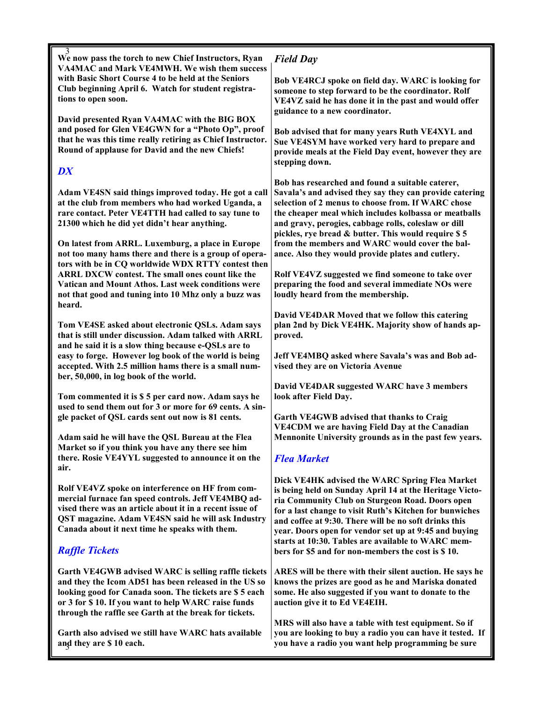$\frac{3}{3}$  We now pass the torch to new Chief Instructors, Ryan VA4MAC and Mark VE4MWH. We wish them success with Basic Short Course 4 to be held at the Seniors Club beginning April 6. Watch for student registrations to open soon.

David presented Ryan VA4MAC with the BIG BOX and posed for Glen VE4GWN for a "Photo Op", proof that he was this time really retiring as Chief Instructor. Round of applause for David and the new Chiefs!

## **DX**

Adam VE4SN said things improved today. He got a call at the club from members who had worked Uganda, a rare contact. Peter VE4TTH had called to say tune to 21300 which he did yet didn't hear anything.

On latest from ARRL. Luxemburg, a place in Europe not too many hams there and there is a group of operators with be in CQ worldwide WDX RTTY contest then ARRL DXCW contest. The small ones count like the Vatican and Mount Athos. Last week conditions were not that good and tuning into 10 Mhz only a buzz was heard.

Tom VE4SE asked about electronic QSLs. Adam says that is still under discussion. Adam talked with ARRL and he said it is a slow thing because e-QSLs are to easy to forge. However log book of the world is being accepted. With 2.5 million hams there is a small number, 50,000, in log book of the world.

Tom commented it is \$ 5 per card now. Adam says he used to send them out for 3 or more for 69 cents. A single packet of QSL cards sent out now is 81 cents.

Adam said he will have the QSL Bureau at the Flea Market so if you think you have any there see him there. Rosie VE4YYL suggested to announce it on the air.

Rolf VE4VZ spoke on interference on HF from commercial furnace fan speed controls. Jeff VE4MBQ advised there was an article about it in a recent issue of QST magazine. Adam VE4SN said he will ask Industry Canada about it next time he speaks with them.

## Raffle Tickets

Garth VE4GWB advised WARC is selling raffle tickets and they the Icom AD51 has been released in the US so looking good for Canada soon. The tickets are \$ 5 each or 3 for \$ 10. If you want to help WARC raise funds through the raffle see Garth at the break for tickets.

and they are \$10 each. Garth also advised we still have WARC hats available

## Field Day

Bob VE4RCJ spoke on field day. WARC is looking for someone to step forward to be the coordinator. Rolf VE4VZ said he has done it in the past and would offer guidance to a new coordinator.

Bob advised that for many years Ruth VE4XYL and Sue VE4SYM have worked very hard to prepare and provide meals at the Field Day event, however they are stepping down.

Bob has researched and found a suitable caterer, Savala's and advised they say they can provide catering selection of 2 menus to choose from. If WARC chose the cheaper meal which includes kolbassa or meatballs and gravy, perogies, cabbage rolls, coleslaw or dill pickles, rye bread & butter. This would require \$ 5 from the members and WARC would cover the balance. Also they would provide plates and cutlery.

Rolf VE4VZ suggested we find someone to take over preparing the food and several immediate NOs were loudly heard from the membership.

David VE4DAR Moved that we follow this catering plan 2nd by Dick VE4HK. Majority show of hands approved.

Jeff VE4MBQ asked where Savala's was and Bob advised they are on Victoria Avenue

David VE4DAR suggested WARC have 3 members look after Field Day.

Garth VE4GWB advised that thanks to Craig VE4CDM we are having Field Day at the Canadian Mennonite University grounds as in the past few years.

## Flea Market

Dick VE4HK advised the WARC Spring Flea Market is being held on Sunday April 14 at the Heritage Victoria Community Club on Sturgeon Road. Doors open for a last change to visit Ruth's Kitchen for bunwiches and coffee at 9:30. There will be no soft drinks this year. Doors open for vendor set up at 9:45 and buying starts at 10:30. Tables are available to WARC members for \$5 and for non-members the cost is \$ 10.

ARES will be there with their silent auction. He says he knows the prizes are good as he and Mariska donated some. He also suggested if you want to donate to the auction give it to Ed VE4EIH.

MRS will also have a table with test equipment. So if you are looking to buy a radio you can have it tested. If you have a radio you want help programming be sure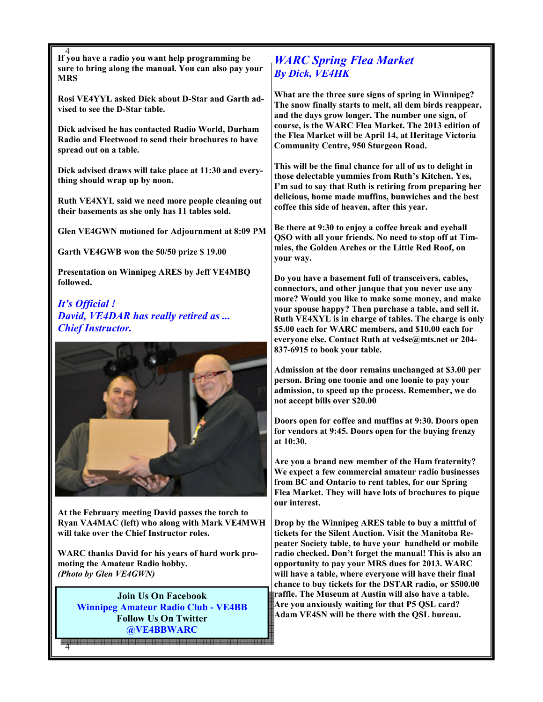4 If you have a radio you want help programming be sure to bring along the manual. You can also pay your **MRS** 

Rosi VE4YYL asked Dick about D-Star and Garth advised to see the D-Star table.

Dick advised he has contacted Radio World, Durham Radio and Fleetwood to send their brochures to have spread out on a table.

Dick advised draws will take place at 11:30 and everything should wrap up by noon.

Ruth VE4XYL said we need more people cleaning out their basements as she only has 11 tables sold.

Glen VE4GWN motioned for Adjournment at 8:09 PM

Garth VE4GWB won the 50/50 prize \$ 19.00

Presentation on Winnipeg ARES by Jeff VE4MBQ followed.

It's Official ! David, VE4DAR has really retired as ... Chief Instructor.



At the February meeting David passes the torch to Ryan VA4MAC (left) who along with Mark VE4MWH will take over the Chief Instructor roles.

WARC thanks David for his years of hard work promoting the Amateur Radio hobby. (Photo by Glen VE4GWN)

Join Us On Facebook Winnipeg Amateur Radio Club - VE4BB Follow Us On Twitter @VE4BBWARC

4

## WARC Spring Flea Market By Dick, VE4HK

What are the three sure signs of spring in Winnipeg? The snow finally starts to melt, all dem birds reappear, and the days grow longer. The number one sign, of course, is the WARC Flea Market. The 2013 edition of the Flea Market will be April 14, at Heritage Victoria Community Centre, 950 Sturgeon Road.

This will be the final chance for all of us to delight in those delectable yummies from Ruth's Kitchen. Yes, I'm sad to say that Ruth is retiring from preparing her delicious, home made muffins, bunwiches and the best coffee this side of heaven, after this year.

Be there at 9:30 to enjoy a coffee break and eyeball QSO with all your friends. No need to stop off at Timmies, the Golden Arches or the Little Red Roof, on your way.

Do you have a basement full of transceivers, cables, connectors, and other junque that you never use any more? Would you like to make some money, and make your spouse happy? Then purchase a table, and sell it. Ruth VE4XYL is in charge of tables. The charge is only \$5.00 each for WARC members, and \$10.00 each for everyone else. Contact Ruth at ve4se@mts.net or 204- 837-6915 to book your table.

Admission at the door remains unchanged at \$3.00 per person. Bring one toonie and one loonie to pay your admission, to speed up the process. Remember, we do not accept bills over \$20.00

Doors open for coffee and muffins at 9:30. Doors open for vendors at 9:45. Doors open for the buying frenzy at 10:30.

Are you a brand new member of the Ham fraternity? We expect a few commercial amateur radio businesses from BC and Ontario to rent tables, for our Spring Flea Market. They will have lots of brochures to pique our interest.

Drop by the Winnipeg ARES table to buy a mittful of tickets for the Silent Auction. Visit the Manitoba Repeater Society table, to have your handheld or mobile radio checked. Don't forget the manual! This is also an opportunity to pay your MRS dues for 2013. WARC will have a table, where everyone will have their final chance to buy tickets for the DSTAR radio, or \$500.00 raffle. The Museum at Austin will also have a table. Are you anxiously waiting for that P5 QSL card? Adam VE4SN will be there with the QSL bureau.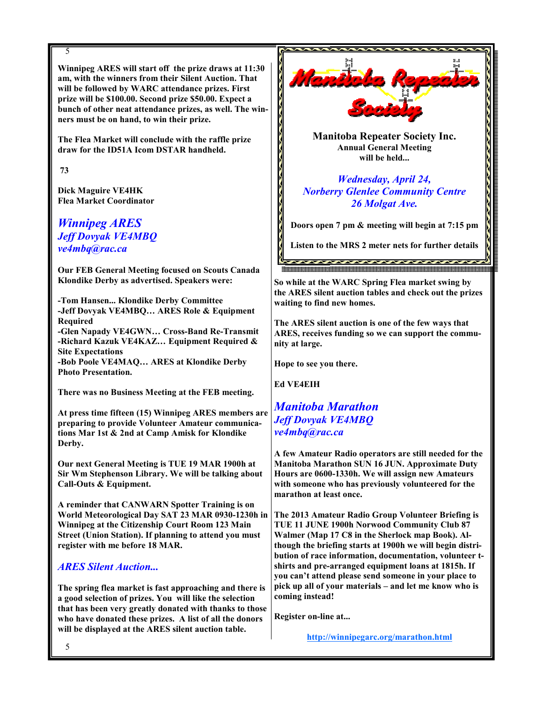#### 5

Winnipeg ARES will start off the prize draws at 11:30 am, with the winners from their Silent Auction. That will be followed by WARC attendance prizes. First prize will be \$100.00. Second prize \$50.00. Expect a bunch of other neat attendance prizes, as well. The winners must be on hand, to win their prize.

The Flea Market will conclude with the raffle prize draw for the ID51A Icom DSTAR handheld.

73

Dick Maguire VE4HK Flea Market Coordinator

Winnipeg ARES Jeff Dovyak VE4MBQ ve4mbq@rac.ca

Our FEB General Meeting focused on Scouts Canada Klondike Derby as advertised. Speakers were:

-Tom Hansen... Klondike Derby Committee -Jeff Dovyak VE4MBQ… ARES Role & Equipment Required

-Glen Napady VE4GWN… Cross-Band Re-Transmit -Richard Kazuk VE4KAZ… Equipment Required & Site Expectations

-Bob Poole VE4MAQ… ARES at Klondike Derby Photo Presentation.

There was no Business Meeting at the FEB meeting.

At press time fifteen (15) Winnipeg ARES members are preparing to provide Volunteer Amateur communications Mar 1st & 2nd at Camp Amisk for Klondike Derby.

Our next General Meeting is TUE 19 MAR 1900h at Sir Wm Stephenson Library. We will be talking about Call-Outs & Equipment.

A reminder that CANWARN Spotter Training is on World Meteorological Day SAT 23 MAR 0930-1230h in Winnipeg at the Citizenship Court Room 123 Main Street (Union Station). If planning to attend you must register with me before 18 MAR.

#### ARES Silent Auction...

The spring flea market is fast approaching and there is a good selection of prizes. You will like the selection that has been very greatly donated with thanks to those who have donated these prizes. A list of all the donors will be displayed at the ARES silent auction table.



Manitoba Repeater Society Inc. Annual General Meeting will be held...

Wednesday, April 24, Norberry Glenlee Community Centre 26 Molgat Ave.

Doors open 7 pm & meeting will begin at 7:15 pm

Listen to the MRS 2 meter nets for further details

So while at the WARC Spring Flea market swing by the ARES silent auction tables and check out the prizes waiting to find new homes.

The ARES silent auction is one of the few ways that ARES, receives funding so we can support the community at large.

Hope to see you there.

Ed VE4EIH

## Manitoba Marathon Jeff Dovyak VE4MBQ ve4mbq@rac.ca

A few Amateur Radio operators are still needed for the Manitoba Marathon SUN 16 JUN. Approximate Duty Hours are 0600-1330h. We will assign new Amateurs with someone who has previously volunteered for the marathon at least once.

The 2013 Amateur Radio Group Volunteer Briefing is TUE 11 JUNE 1900h Norwood Community Club 87 Walmer (Map 17 C8 in the Sherlock map Book). Although the briefing starts at 1900h we will begin distribution of race information, documentation, volunteer tshirts and pre-arranged equipment loans at 1815h. If you can't attend please send someone in your place to pick up all of your materials – and let me know who is coming instead!

Register on-line at...

http://winnipegarc.org/marathon.html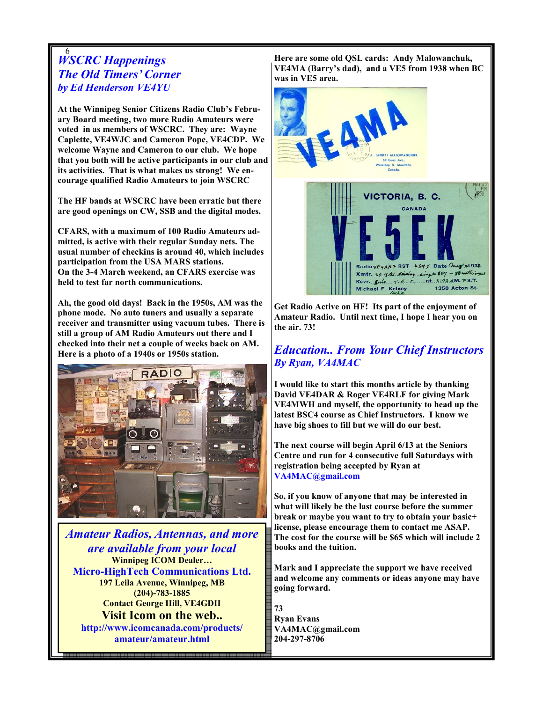#### 6 WSCRC Happenings The Old Timers' Corner by Ed Henderson VE4YU

At the Winnipeg Senior Citizens Radio Club's February Board meeting, two more Radio Amateurs were voted in as members of WSCRC. They are: Wayne Caplette, VE4WJC and Cameron Pope, VE4CDP. We welcome Wayne and Cameron to our club. We hope that you both will be active participants in our club and its activities. That is what makes us strong! We encourage qualified Radio Amateurs to join WSCRC

The HF bands at WSCRC have been erratic but there are good openings on CW, SSB and the digital modes.

CFARS, with a maximum of 100 Radio Amateurs admitted, is active with their regular Sunday nets. The usual number of checkins is around 40, which includes participation from the USA MARS stations. On the 3-4 March weekend, an CFARS exercise was held to test far north communications.

Ah, the good old days! Back in the 1950s, AM was the phone mode. No auto tuners and usually a separate receiver and transmitter using vacuum tubes. There is still a group of AM Radio Amateurs out there and I checked into their net a couple of weeks back on AM. Here is a photo of a 1940s or 1950s station.



Amateur Radios, Antennas, and more are available from your local Winnipeg ICOM Dealer… Micro-HighTech Communications Ltd. 197 Leila Avenue, Winnipeg, MB (204)-783-1885 Contact George Hill, VE4GDH Visit Icom on the web.. http://www.icomcanada.com/products/ amateur/amateur.html

6

Here are some old QSL cards: Andy Malowanchuk, VE4MA (Barry's dad), and a VE5 from 1938 when BC was in VE5 area.



Get Radio Active on HF! Its part of the enjoyment of Amateur Radio. Until next time, I hope I hear you on the air. 73!

## Education.. From Your Chief Instructors By Ryan, VA4MAC

I would like to start this months article by thanking David VE4DAR & Roger VE4RLF for giving Mark VE4MWH and myself, the opportunity to head up the latest BSC4 course as Chief Instructors. I know we have big shoes to fill but we will do our best.

The next course will begin April 6/13 at the Seniors Centre and run for 4 consecutive full Saturdays with registration being accepted by Ryan at VA4MAC@gmail.com

So, if you know of anyone that may be interested in what will likely be the last course before the summer break or maybe you want to try to obtain your basic+ license, please encourage them to contact me ASAP. The cost for the course will be \$65 which will include 2 books and the tuition.

Mark and I appreciate the support we have received and welcome any comments or ideas anyone may have going forward.

73 Ryan Evans VA4MAC@gmail.com 204-297-8706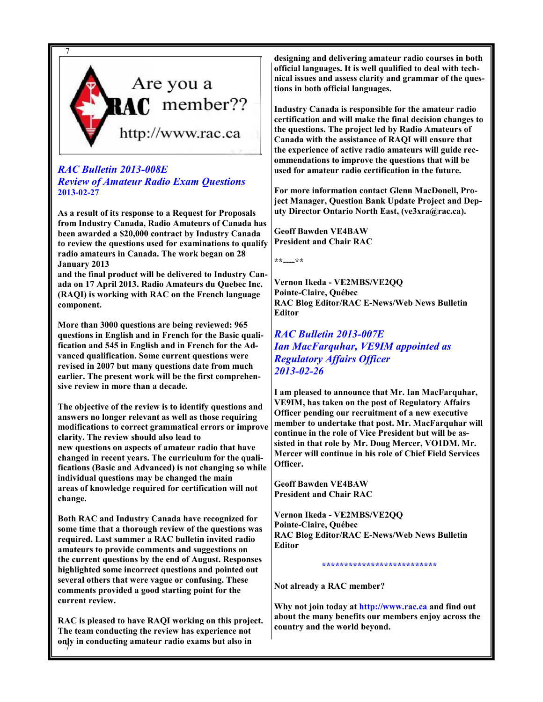

#### RAC Bulletin 2013-008E Review of Amateur Radio Exam Questions 2013-02-27

As a result of its response to a Request for Proposals from Industry Canada, Radio Amateurs of Canada has been awarded a \$20,000 contract by Industry Canada to review the questions used for examinations to qualify radio amateurs in Canada. The work began on 28 January 2013

and the final product will be delivered to Industry Canada on 17 April 2013. Radio Amateurs du Quebec Inc. (RAQI) is working with RAC on the French language component.

More than 3000 questions are being reviewed: 965 questions in English and in French for the Basic qualification and 545 in English and in French for the Advanced qualification. Some current questions were revised in 2007 but many questions date from much earlier. The present work will be the first comprehensive review in more than a decade.

The objective of the review is to identify questions and answers no longer relevant as well as those requiring modifications to correct grammatical errors or improve clarity. The review should also lead to new questions on aspects of amateur radio that have changed in recent years. The curriculum for the qualifications (Basic and Advanced) is not changing so while individual questions may be changed the main areas of knowledge required for certification will not change.

Both RAC and Industry Canada have recognized for some time that a thorough review of the questions was required. Last summer a RAC bulletin invited radio amateurs to provide comments and suggestions on the current questions by the end of August. Responses highlighted some incorrect questions and pointed out several others that were vague or confusing. These comments provided a good starting point for the current review.

7 only in conducting amateur radio exams but also in RAC is pleased to have RAQI working on this project. The team conducting the review has experience not

designing and delivering amateur radio courses in both official languages. It is well qualified to deal with technical issues and assess clarity and grammar of the questions in both official languages.

Industry Canada is responsible for the amateur radio certification and will make the final decision changes to the questions. The project led by Radio Amateurs of Canada with the assistance of RAQI will ensure that the experience of active radio amateurs will guide recommendations to improve the questions that will be used for amateur radio certification in the future.

For more information contact Glenn MacDonell, Project Manager, Question Bank Update Project and Deputy Director Ontario North East, (ve3xra@rac.ca).

Geoff Bawden VE4BAW President and Chair RAC

\*\*----\*\*

Vernon Ikeda - VE2MBS/VE2QQ Pointe-Claire, Québec RAC Blog Editor/RAC E-News/Web News Bulletin Editor

RAC Bulletin 2013-007E Ian MacFarquhar, VE9IM appointed as Regulatory Affairs Officer 2013-02-26

I am pleased to announce that Mr. Ian MacFarquhar, VE9IM, has taken on the post of Regulatory Affairs Officer pending our recruitment of a new executive member to undertake that post. Mr. MacFarquhar will continue in the role of Vice President but will be assisted in that role by Mr. Doug Mercer, VO1DM. Mr. Mercer will continue in his role of Chief Field Services Officer.

Geoff Bawden VE4BAW President and Chair RAC

Vernon Ikeda - VE2MBS/VE2QQ Pointe-Claire, Québec RAC Blog Editor/RAC E-News/Web News Bulletin Editor

\*\*\*\*\*\*\*\*\*\*\*\*\*\*\*\*\*\*\*\*\*\*\*\*\*\*

Not already a RAC member?

Why not join today at http://www.rac.ca and find out about the many benefits our members enjoy across the country and the world beyond.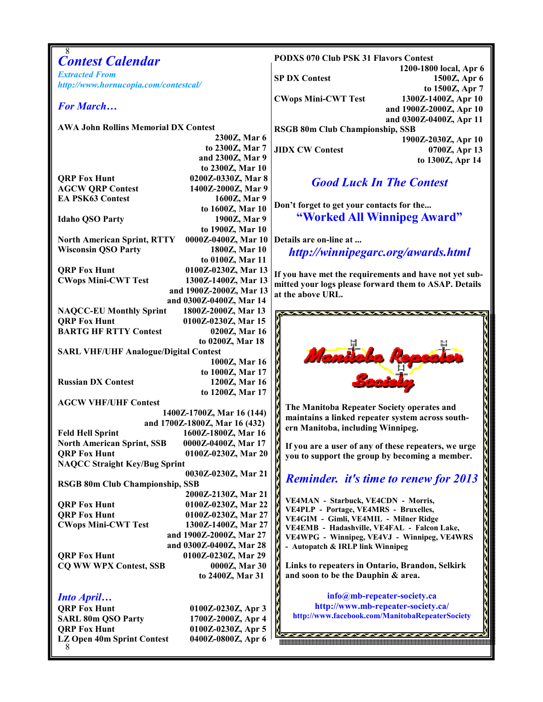| <b>Contest Calendar</b>                                                                      | <b>PODXS 070 Club PSK 31 Flavors Contest</b>                                                                    |  |  |
|----------------------------------------------------------------------------------------------|-----------------------------------------------------------------------------------------------------------------|--|--|
| <b>Extracted From</b>                                                                        | 1200-1800 local, Apr 6<br><b>SP DX Contest</b><br>1500Z, Apr 6                                                  |  |  |
| http://www.hornucopia.com/contestcal/                                                        | to 1500Z, Apr 7                                                                                                 |  |  |
| <b>For March</b>                                                                             | <b>CWops Mini-CWT Test</b><br>1300Z-1400Z, Apr 10                                                               |  |  |
|                                                                                              | and 1900Z-2000Z, Apr 10<br>and 0300Z-0400Z, Apr 11                                                              |  |  |
| <b>AWA John Rollins Memorial DX Contest</b>                                                  | RSGB 80m Club Championship, SSB                                                                                 |  |  |
| 2300Z, Mar 6<br>to 2300Z, Mar 7                                                              | 1900Z-2030Z, Apr 10                                                                                             |  |  |
| and 2300Z, Mar 9                                                                             | <b>JIDX CW Contest</b><br>0700Z, Apr 13<br>to 1300Z, Apr 14                                                     |  |  |
| to 2300Z, Mar 10                                                                             |                                                                                                                 |  |  |
| 0200Z-0330Z, Mar 8<br><b>QRP Fox Hunt</b><br><b>AGCW QRP Contest</b><br>1400Z-2000Z, Mar 9   | <b>Good Luck In The Contest</b>                                                                                 |  |  |
| <b>EA PSK63 Contest</b><br>1600Z, Mar 9                                                      |                                                                                                                 |  |  |
| to 1600Z, Mar 10                                                                             | Don't forget to get your contacts for the                                                                       |  |  |
| <b>Idaho QSO Party</b><br>1900Z, Mar 9<br>to 1900Z, Mar 10                                   | "Worked All Winnipeg Award"                                                                                     |  |  |
| 0000Z-0400Z, Mar 10<br><b>North American Sprint, RTTY</b>                                    | Details are on-line at                                                                                          |  |  |
| <b>Wisconsin QSO Party</b><br>1800Z, Mar 10                                                  | http://winnipegarc.org/awards.html                                                                              |  |  |
| to 0100Z, Mar 11<br>0100Z-0230Z, Mar 13<br><b>QRP Fox Hunt</b>                               |                                                                                                                 |  |  |
| <b>CWops Mini-CWT Test</b><br>1300Z-1400Z, Mar 13                                            | If you have met the requirements and have not yet sub-<br>mitted your logs please forward them to ASAP. Details |  |  |
| and 1900Z-2000Z, Mar 13                                                                      | at the above URL.                                                                                               |  |  |
| and 0300Z-0400Z, Mar 14<br><b>NAQCC-EU Monthly Sprint</b><br>1800Z-2000Z, Mar 13             |                                                                                                                 |  |  |
| <b>QRP Fox Hunt</b><br>0100Z-0230Z, Mar 15                                                   |                                                                                                                 |  |  |
| <b>BARTG HF RTTY Contest</b><br>0200Z, Mar 16                                                |                                                                                                                 |  |  |
| to 0200Z, Mar 18<br><b>SARL VHF/UHF Analogue/Digital Contest</b>                             |                                                                                                                 |  |  |
| 1000Z, Mar 16                                                                                | Mentolo Rep                                                                                                     |  |  |
| to 1000Z, Mar 17                                                                             |                                                                                                                 |  |  |
| <b>Russian DX Contest</b><br>1200Z, Mar 16<br>to 1200Z, Mar 17                               |                                                                                                                 |  |  |
| <b>AGCW VHF/UHF Contest</b>                                                                  | The Manitoba Repeater Society operates and                                                                      |  |  |
| 1400Z-1700Z, Mar 16 (144)<br>and 1700Z-1800Z, Mar 16 (432)                                   | maintains a linked repeater system across south-                                                                |  |  |
| 1600Z-1800Z, Mar 16<br><b>Feld Hell Sprint</b>                                               | ern Manitoba, including Winnipeg.                                                                               |  |  |
| <b>North American Sprint, SSB</b><br>0000Z-0400Z, Mar 17                                     | If you are a user of any of these repeaters, we urge                                                            |  |  |
| <b>QRP Fox Hunt</b><br>0100Z-0230Z, Mar 20<br><b>NAQCC Straight Key/Bug Sprint</b>           | you to support the group by becoming a member.                                                                  |  |  |
| 0030Z-0230Z, Mar 21                                                                          |                                                                                                                 |  |  |
| <b>RSGB 80m Club Championship, SSB</b>                                                       | <b>Reminder.</b> it's time to renew for 2013                                                                    |  |  |
| 2000Z-2130Z, Mar 21<br><b>QRP Fox Hunt</b><br>0100Z-0230Z, Mar 22                            | VE4MAN - Starbuck, VE4CDN - Morris,                                                                             |  |  |
| <b>QRP Fox Hunt</b><br>0100Z-0230Z, Mar 27                                                   | VE4PLP - Portage, VE4MRS - Bruxelles,<br>VE4GIM - Gimli, VE4MIL - Milner Ridge                                  |  |  |
| <b>CWops Mini-CWT Test</b><br>1300Z-1400Z, Mar 27                                            | VE4EMB - Hadashville, VE4FAL - Falcon Lake,                                                                     |  |  |
| and 1900Z-2000Z, Mar 27<br>and 0300Z-0400Z, Mar 28                                           | VE4WPG - Winnipeg, VE4VJ - Winnipeg, VE4WRS<br>- Autopatch & IRLP link Winnipeg                                 |  |  |
| 0100Z-0230Z, Mar 29<br><b>QRP Fox Hunt</b>                                                   |                                                                                                                 |  |  |
| <b>CQ WW WPX Contest, SSB</b><br>0000Z, Mar 30                                               | Links to repeaters in Ontario, Brandon, Selkirk                                                                 |  |  |
| to 2400Z, Mar 31                                                                             | and soon to be the Dauphin & area.                                                                              |  |  |
| <b>Into April</b>                                                                            | info@mb-repeater-society.ca                                                                                     |  |  |
| <b>QRP Fox Hunt</b><br>0100Z-0230Z, Apr 3                                                    | http://www.mb-repeater-society.ca/<br>http://www.facebook.com/ManitobaRepeaterSociety                           |  |  |
| <b>SARL 80m QSO Party</b><br>1700Z-2000Z, Apr 4<br><b>QRP Fox Hunt</b><br>0100Z-0230Z, Apr 5 |                                                                                                                 |  |  |
| LZ Open 40m Sprint Contest<br>0400Z-0800Z, Apr 6                                             |                                                                                                                 |  |  |
|                                                                                              |                                                                                                                 |  |  |